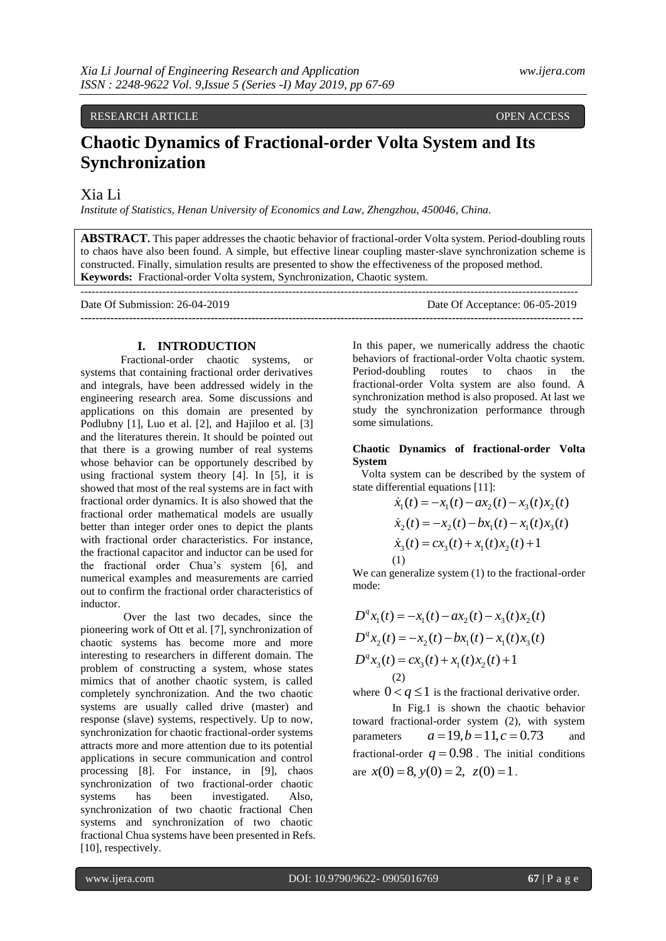# RESEARCH ARTICLE **CONSERVERS** OPEN ACCESS **OPEN ACCESS**

# **Chaotic Dynamics of Fractional-order Volta System and Its Synchronization**

# Xia Li

*Institute of Statistics, Henan University of Economics and Law, Zhengzhou, 450046, China.* 

**ABSTRACT.** This paper addresses the chaotic behavior of fractional-order Volta system. Period-doubling routs to chaos have also been found. A simple, but effective linear coupling master-slave synchronization scheme is constructed. Finally, simulation results are presented to show the effectiveness of the proposed method. **Keywords:** Fractional-order Volta system, Synchronization, Chaotic system.

| Date Of Submission: 26-04-2019 | Date Of Acceptance: 06-05-2019 |
|--------------------------------|--------------------------------|
|                                |                                |

#### **I. INTRODUCTION**

Fractional-order chaotic systems, or systems that containing fractional order derivatives and integrals, have been addressed widely in the engineering research area. Some discussions and applications on this domain are presented by Podlubny [1], Luo et al. [2], and Hajiloo et al. [3] and the literatures therein. It should be pointed out that there is a growing number of real systems whose behavior can be opportunely described by using fractional system theory [4]. In [5], it is showed that most of the real systems are in fact with fractional order dynamics. It is also showed that the fractional order mathematical models are usually better than integer order ones to depict the plants with fractional order characteristics. For instance, the fractional capacitor and inductor can be used for the fractional order Chua's system [6], and numerical examples and measurements are carried out to confirm the fractional order characteristics of inductor.

Over the last two decades, since the pioneering work of Ott et al. [7], synchronization of chaotic systems has become more and more interesting to researchers in different domain. The problem of constructing a system, whose states mimics that of another chaotic system, is called completely synchronization. And the two chaotic systems are usually called drive (master) and response (slave) systems, respectively. Up to now, synchronization for chaotic fractional-order systems attracts more and more attention due to its potential applications in secure communication and control processing [8]. For instance, in [9], chaos synchronization of two fractional-order chaotic systems has been investigated. Also, synchronization of two chaotic fractional Chen systems and synchronization of two chaotic fractional Chua systems have been presented in Refs. [10], respectively.

In this paper, we numerically address the chaotic behaviors of fractional-order Volta chaotic system. Period-doubling routes to chaos in the fractional-order Volta system are also found. A synchronization method is also proposed. At last we study the synchronization performance through some simulations.

### **Chaotic Dynamics of fractional-order Volta System**

Volta system can be described by the system of

state differential equations [11]:  
\n
$$
\dot{x}_1(t) = -x_1(t) - ax_2(t) - x_3(t)x_2(t)
$$
\n
$$
\dot{x}_2(t) = -x_2(t) - bx_1(t) - x_1(t)x_3(t)
$$
\n
$$
\dot{x}_3(t) = cx_3(t) + x_1(t)x_2(t) + 1
$$
\n(1)

We can generalize system (1) to the fractional-order mode:

$$
D^{q} x_{1}(t) = -x_{1}(t) - ax_{2}(t) - x_{3}(t)x_{2}(t)
$$
  
\n
$$
D^{q} x_{2}(t) = -x_{2}(t) - bx_{1}(t) - x_{1}(t)x_{3}(t)
$$
  
\n
$$
D^{q} x_{3}(t) = cx_{3}(t) + x_{1}(t)x_{2}(t) + 1
$$
  
\n(2)

where  $0 < q \le 1$  is the fractional derivative order.

In Fig.1 is shown the chaotic behavior toward fractional-order system (2), with system parameters  $a = 19, b = 11, c = 0.73$ and fractional-order  $q = 0.98$ . The initial conditions are  $x(0) = 8$ ,  $y(0) = 2$ ,  $z(0) = 1$ .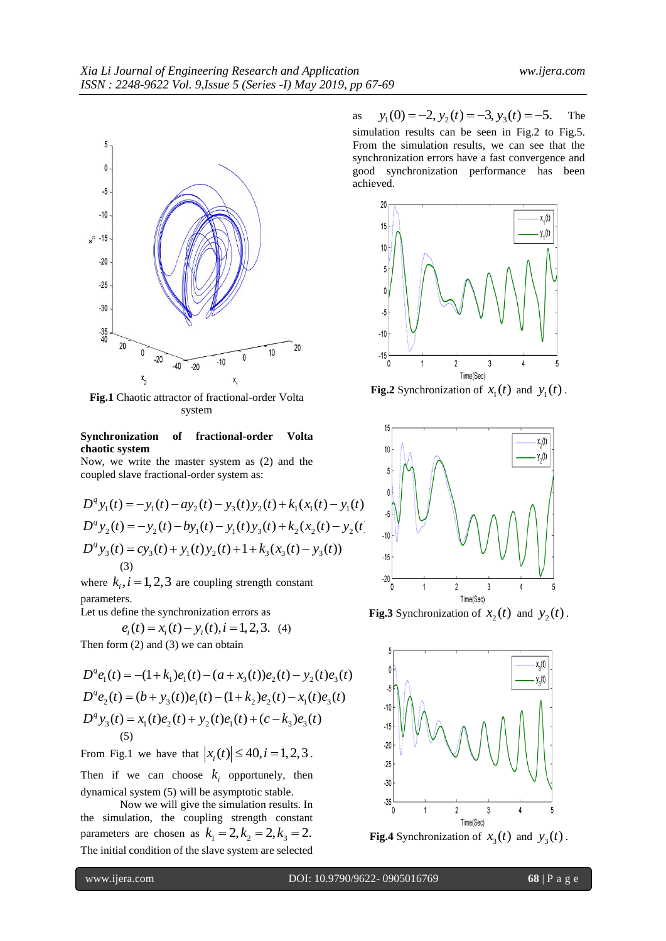

**Fig.1** Chaotic attractor of fractional-order Volta system

## **Synchronization of fractional-order Volta chaotic system**

Now, we write the master system as (2) and the

coupled slave fractional-order system as:  
\n
$$
D^{q} y_{1}(t) = -y_{1}(t) - ay_{2}(t) - y_{3}(t)y_{2}(t) + k_{1}(x_{1}(t) - y_{1}(t))
$$
\n
$$
D^{q} y_{2}(t) = -y_{2}(t) - by_{1}(t) - y_{1}(t)y_{3}(t) + k_{2}(x_{2}(t) - y_{2}(t))
$$
\n
$$
D^{q} y_{3}(t) = cy_{3}(t) + y_{1}(t)y_{2}(t) + 1 + k_{3}(x_{3}(t) - y_{3}(t))
$$
\n(3)

where  $k_i$ ,  $i = 1, 2, 3$  are coupling strength constant parameters.

Let us define the synchronization errors as  

$$
e_i(t) = x_i(t) - y_i(t), i = 1, 2, 3.
$$
 (4)

Then form (2) and (3) we can obtain  
\n
$$
D^q e_1(t) = -(1 + k_1)e_1(t) - (a + x_3(t))e_2(t) - y_2(t)e_3(t)
$$
\n
$$
D^q e_2(t) = (b + y_3(t))e_1(t) - (1 + k_2)e_2(t) - x_1(t)e_3(t)
$$
\n
$$
D^q y_3(t) = x_1(t)e_2(t) + y_2(t)e_1(t) + (c - k_3)e_3(t)
$$
\n(5)

From Fig.1 we have that  $|x_i(t)| \le 40, i = 1,2,3$ .

Then if we can choose  $k_i$  opportunely, then dynamical system (5) will be asymptotic stable.

Now we will give the simulation results. In the simulation, the coupling strength constant parameters are chosen as  $k_1 = 2, k_2 = 2, k_3 = 2$ . The initial condition of the slave system are selected

as  $y_1(0) = -2$ ,  $y_2(t) = -3$ ,  $y_3(t) = -5$ . The simulation results can be seen in Fig.2 to Fig.5. From the simulation results, we can see that the synchronization errors have a fast convergence and good synchronization performance has been achieved.



**Fig.2** Synchronization of  $x_1(t)$  and  $y_1(t)$ .



**Fig.3** Synchronization of  $x_2(t)$  and  $y_2(t)$ .



**Fig.4** Synchronization of  $x_3(t)$  and  $y_3(t)$ .